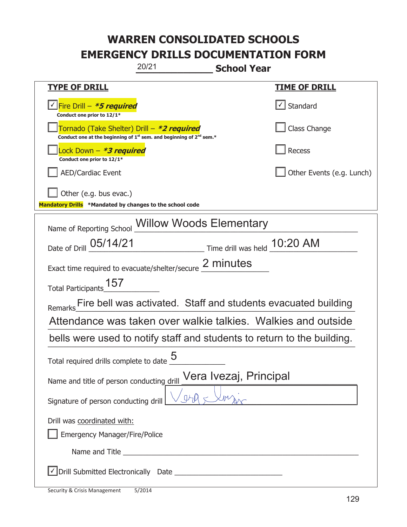| 20/21<br><b>School Year</b>                                                                                                 |                           |  |
|-----------------------------------------------------------------------------------------------------------------------------|---------------------------|--|
| <b>TYPE OF DRILL</b>                                                                                                        | <b>TIME OF DRILL</b>      |  |
| <u> √ Fire Drill – <i>*<b>5 required</b></i></u><br>Conduct one prior to 12/1*                                              | $\cup$ Standard           |  |
| Tornado (Take Shelter) Drill – *2 required<br>Conduct one at the beginning of $1^{st}$ sem. and beginning of $2^{nd}$ sem.* | Class Change              |  |
| ock Down – <b>*<i>3 required</i></b><br>Conduct one prior to 12/1*                                                          | Recess                    |  |
| <b>AED/Cardiac Event</b>                                                                                                    | Other Events (e.g. Lunch) |  |
| Other (e.g. bus evac.)<br>Mandatory Drills *Mandated by changes to the school code                                          |                           |  |
| Name of Reporting School Willow Woods Elementary                                                                            |                           |  |
| Date of Drill 05/14/21 Time drill was held 10:20 AM                                                                         |                           |  |
| Exact time required to evacuate/shelter/secure 2 minutes                                                                    |                           |  |
| Total Participants_157                                                                                                      |                           |  |
| Remarks Fire bell was activated. Staff and students evacuated building                                                      |                           |  |
| Attendance was taken over walkie talkies. Walkies and outside                                                               |                           |  |
| bells were used to notify staff and students to return to the building.                                                     |                           |  |
| 5<br>Total required drills complete to date                                                                                 |                           |  |
| Vera Ivezaj, Principal<br>Name and title of person conducting drill                                                         |                           |  |
| Signature of person conducting drill                                                                                        |                           |  |
| Drill was coordinated with:                                                                                                 |                           |  |
| Emergency Manager/Fire/Police                                                                                               |                           |  |
| Name and Title <b>Name and Title</b>                                                                                        |                           |  |
|                                                                                                                             |                           |  |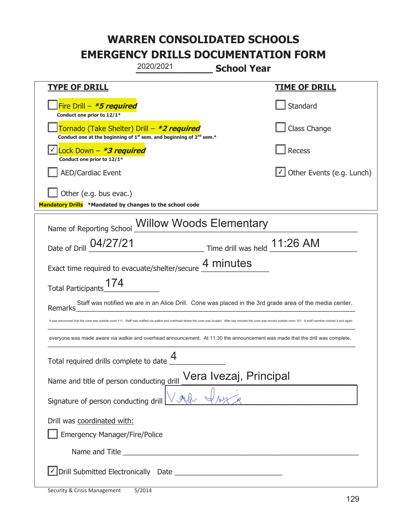|                                                                                                                                                                                                                        | 2020/2021                                                                                                                                                                                                                            | <b>School Year</b>           |                                                                                                         |
|------------------------------------------------------------------------------------------------------------------------------------------------------------------------------------------------------------------------|--------------------------------------------------------------------------------------------------------------------------------------------------------------------------------------------------------------------------------------|------------------------------|---------------------------------------------------------------------------------------------------------|
| <b>TYPE OF DRILL</b>                                                                                                                                                                                                   |                                                                                                                                                                                                                                      |                              | <u>TIME OF DRILL</u>                                                                                    |
| Fire Drill $-$ <b>*5 required</b><br>Conduct one prior to 12/1*                                                                                                                                                        |                                                                                                                                                                                                                                      |                              | Standard                                                                                                |
| Tornado (Take Shelter) Drill – *2 required<br>Conduct one at the beginning of $1^{st}$ sem. and beginning of $2^{nd}$ sem.*                                                                                            |                                                                                                                                                                                                                                      |                              | Class Change                                                                                            |
| Lock Down - *3 required<br>Conduct one prior to 12/1*                                                                                                                                                                  |                                                                                                                                                                                                                                      |                              | <b>Recess</b>                                                                                           |
| <b>AED/Cardiac Event</b>                                                                                                                                                                                               |                                                                                                                                                                                                                                      |                              | Other Events (e.g. Lunch)                                                                               |
| Other (e.g. bus evac.)<br>Mandatory Drills *Mandated by changes to the school code                                                                                                                                     |                                                                                                                                                                                                                                      |                              |                                                                                                         |
| Name of Reporting School Willow Woods Elementary                                                                                                                                                                       |                                                                                                                                                                                                                                      |                              |                                                                                                         |
| Date of Drill 04/27/21                                                                                                                                                                                                 |                                                                                                                                                                                                                                      | Time drill was held 11:26 AM |                                                                                                         |
| Exact time required to evacuate/shelter/secure 4 minutes                                                                                                                                                               |                                                                                                                                                                                                                                      |                              |                                                                                                         |
| Total Participants_174                                                                                                                                                                                                 |                                                                                                                                                                                                                                      |                              |                                                                                                         |
| Remarks                                                                                                                                                                                                                |                                                                                                                                                                                                                                      |                              | Staff was notified we are in an Alice Drill. Cone was placed in the 3rd grade area of the media center. |
| It was announced that the cone was outside room 111. Staff was notified via walkie and overhead where the cone was located. After twp minutes the cone was moved outside room 101. A staff member noticed it and again |                                                                                                                                                                                                                                      |                              |                                                                                                         |
| everyone was made aware via walkie and overhead announcement. At 11:30 the announcement was made that the drill was complete.                                                                                          |                                                                                                                                                                                                                                      |                              |                                                                                                         |
| Total required drills complete to date $\mathbf{\Gamma}$                                                                                                                                                               | Δ                                                                                                                                                                                                                                    |                              |                                                                                                         |
| Name and title of person conducting $\frac{drill}{\sqrt{r}}$ Vera Ivezaj, Principal                                                                                                                                    |                                                                                                                                                                                                                                      |                              |                                                                                                         |
| Signature of person conducting drill                                                                                                                                                                                   |                                                                                                                                                                                                                                      |                              |                                                                                                         |
| Drill was coordinated with:                                                                                                                                                                                            |                                                                                                                                                                                                                                      |                              |                                                                                                         |
| Emergency Manager/Fire/Police                                                                                                                                                                                          |                                                                                                                                                                                                                                      |                              |                                                                                                         |
|                                                                                                                                                                                                                        | Name and Title <b>contract the contract of the contract of the contract of the contract of the contract of the contract of the contract of the contract of the contract of the contract of the contract of the contract of the c</b> |                              |                                                                                                         |
|                                                                                                                                                                                                                        |                                                                                                                                                                                                                                      |                              |                                                                                                         |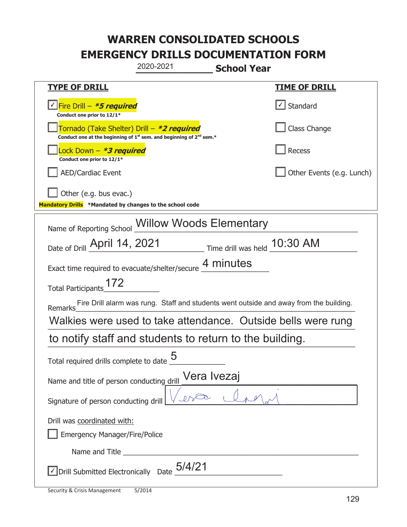|                                                                                    | 2020-2021                                                                                   | <b>School Year</b> |                                                                                        |
|------------------------------------------------------------------------------------|---------------------------------------------------------------------------------------------|--------------------|----------------------------------------------------------------------------------------|
| <b>TYPE OF DRILL</b>                                                               |                                                                                             |                    | <u>TIME OF DRILL</u>                                                                   |
| <u>√ Fire Drill – *5 required</u><br>Conduct one prior to 12/1*                    |                                                                                             |                    | $\cup$ Standard                                                                        |
| Tornado (Take Shelter) Drill – *2 required                                         | Conduct one at the beginning of 1 <sup>st</sup> sem. and beginning of 2 <sup>nd</sup> sem.* |                    | Class Change                                                                           |
| Lock Down – <b>*<i>3 required</i></b><br>Conduct one prior to 12/1*                |                                                                                             |                    | Recess                                                                                 |
| <b>AED/Cardiac Event</b>                                                           |                                                                                             |                    | Other Events (e.g. Lunch)                                                              |
| Other (e.g. bus evac.)<br>Mandatory Drills *Mandated by changes to the school code |                                                                                             |                    |                                                                                        |
| Name of Reporting School Willow Woods Elementary                                   |                                                                                             |                    |                                                                                        |
| Date of Drill April 14, 2021 Time drill was held 10:30 AM                          |                                                                                             |                    |                                                                                        |
| Exact time required to evacuate/shelter/secure 4 minutes                           |                                                                                             |                    |                                                                                        |
| Total Participants 172                                                             |                                                                                             |                    |                                                                                        |
| <b>Remarks</b>                                                                     |                                                                                             |                    | Fire Drill alarm was rung. Staff and students went outside and away from the building. |
| Walkies were used to take attendance. Outside bells were rung                      |                                                                                             |                    |                                                                                        |
| to notify staff and students to return to the building.                            |                                                                                             |                    |                                                                                        |
| 5<br>Total required drills complete to date                                        |                                                                                             |                    |                                                                                        |
| Vera Ivezaj<br>Name and title of person conducting drill                           |                                                                                             |                    |                                                                                        |
| Signature of person conducting drill                                               |                                                                                             |                    |                                                                                        |
| Drill was coordinated with:<br><b>Emergency Manager/Fire/Police</b>                |                                                                                             |                    |                                                                                        |
|                                                                                    |                                                                                             |                    |                                                                                        |
| √ Drill Submitted Electronically Date                                              | 5/4/21                                                                                      |                    |                                                                                        |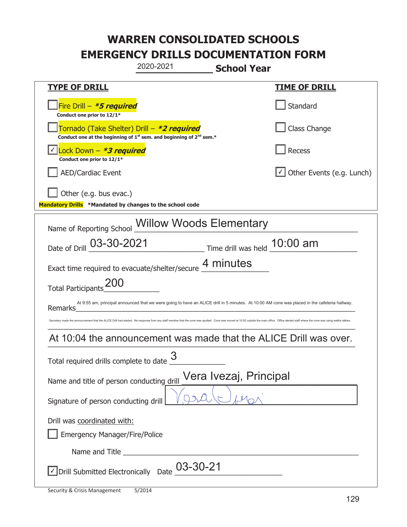| 2020-2021<br><b>School Year</b>                                                                                                                                                                                               |                                  |  |
|-------------------------------------------------------------------------------------------------------------------------------------------------------------------------------------------------------------------------------|----------------------------------|--|
| <b>TYPE OF DRILL</b>                                                                                                                                                                                                          | <u>TIME OF DRILL</u>             |  |
| Fire Drill - *5 required<br>Conduct one prior to 12/1*                                                                                                                                                                        | Standard                         |  |
| Tornado (Take Shelter) Drill – *2 required<br>Conduct one at the beginning of $1^{st}$ sem. and beginning of $2^{nd}$ sem.*                                                                                                   | Class Change                     |  |
| Lock Down - *3 required<br>Conduct one prior to 12/1*                                                                                                                                                                         | Recess                           |  |
| <b>AED/Cardiac Event</b>                                                                                                                                                                                                      | $\cup$ Other Events (e.g. Lunch) |  |
| Other (e.g. bus evac.)<br>Mandatory Drills *Mandated by changes to the school code                                                                                                                                            |                                  |  |
| Name of Reporting School Willow Woods Elementary                                                                                                                                                                              |                                  |  |
| Date of Drill 03-30-2021<br>$\frac{10:00 \text{ am}}{2}$ Time drill was held $\frac{10:00 \text{ am}}{2}$                                                                                                                     |                                  |  |
| Exact time required to evacuate/shelter/secure 4 minutes                                                                                                                                                                      |                                  |  |
| <b>ZUU</b><br><b>Total Participants</b>                                                                                                                                                                                       |                                  |  |
| At 9:55 am, principal announced that we were going to have an ALICE drill in 5 minutes. At 10:00 AM cone was placed in the cafeteria hallway.<br>Remarks                                                                      |                                  |  |
| Secretary made the announcement that the ALICE Drill had started. No response from any staff member that the cone was spotted. Cone was moved at 10:02 outside the main office. Office alerted staff where the cone was using |                                  |  |
| At 10:04 the announcement was made that the ALICE Drill was over.                                                                                                                                                             |                                  |  |
| 3<br>Total required drills complete to date                                                                                                                                                                                   |                                  |  |
| Vera Ivezaj, Principal<br>Name and title of person conducting drill                                                                                                                                                           |                                  |  |
| Signature of person conducting drill                                                                                                                                                                                          |                                  |  |
| Drill was coordinated with:<br><b>Emergency Manager/Fire/Police</b>                                                                                                                                                           |                                  |  |
|                                                                                                                                                                                                                               |                                  |  |
| $\le$ Drill Submitted Electronically Date $03$ -30-21                                                                                                                                                                         |                                  |  |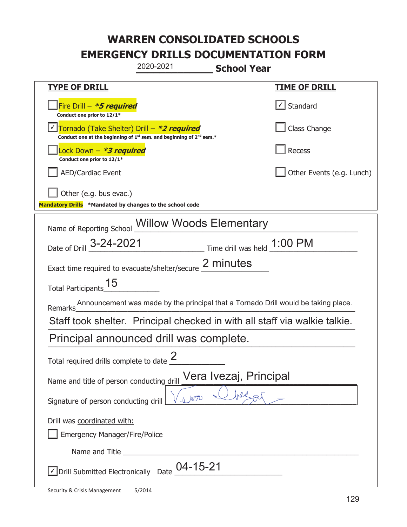| 2020-2021<br><b>School Year</b>                                                                                                           |                                       |  |
|-------------------------------------------------------------------------------------------------------------------------------------------|---------------------------------------|--|
| <b>TYPE OF DRILL</b>                                                                                                                      | <u>TIME OF DRILL</u>                  |  |
| Fire Drill $-$ <b>*5 required</b><br>Conduct one prior to 12/1*                                                                           | $\lfloor \checkmark \rfloor$ Standard |  |
| Tornado (Take Shelter) Drill – *2 required<br>Conduct one at the beginning of 1 <sup>st</sup> sem. and beginning of 2 <sup>nd</sup> sem.* | Class Change                          |  |
| Lock Down – <b>*<i>3 required</i></b><br>Conduct one prior to 12/1*                                                                       | Recess                                |  |
| <b>AED/Cardiac Event</b>                                                                                                                  | Other Events (e.g. Lunch)             |  |
| Other (e.g. bus evac.)<br>Mandatory Drills *Mandated by changes to the school code                                                        |                                       |  |
| <b>Willow Woods Elementary</b><br>Name of Reporting School                                                                                |                                       |  |
| Date of Drill _3-24-2021<br>$\frac{1:00 \text{ PM}}{2}$ Time drill was held $\frac{1:00 \text{ PM}}{2}$                                   |                                       |  |
| Exact time required to evacuate/shelter/secure 2 minutes                                                                                  |                                       |  |
| Total Participants 15                                                                                                                     |                                       |  |
| Announcement was made by the principal that a Tornado Drill would be taking place.<br>Remarks                                             |                                       |  |
| Staff took shelter. Principal checked in with all staff via walkie talkie.                                                                |                                       |  |
| Principal announced drill was complete.                                                                                                   |                                       |  |
| Total required drills complete to date $\leq$                                                                                             |                                       |  |
| Vera Ivezaj, Principal<br>Name and title of person conducting drill                                                                       |                                       |  |
| Signature of person conducting drill                                                                                                      |                                       |  |
| Drill was coordinated with:                                                                                                               |                                       |  |
| <b>Emergency Manager/Fire/Police</b>                                                                                                      |                                       |  |
|                                                                                                                                           |                                       |  |
| $\vee$ Drill Submitted Electronically Date $\_{}^{04}$ -15-21                                                                             |                                       |  |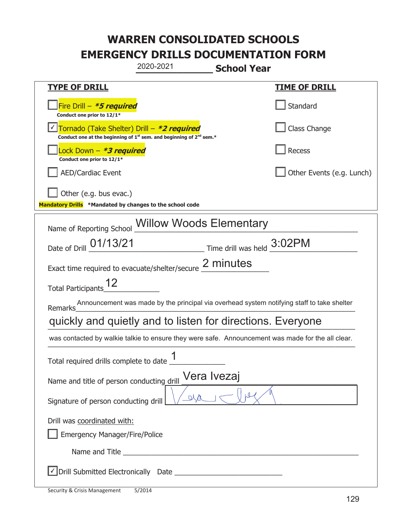|                                                                                    | 2020-2021                                                                                                                                 | <b>School Year</b>          |                                                                                                   |
|------------------------------------------------------------------------------------|-------------------------------------------------------------------------------------------------------------------------------------------|-----------------------------|---------------------------------------------------------------------------------------------------|
| <b>TYPE OF DRILL</b>                                                               |                                                                                                                                           |                             | <u>TIME OF DRILL</u>                                                                              |
| Fire Drill - *5 required<br>Conduct one prior to 12/1*                             |                                                                                                                                           |                             | Standard                                                                                          |
|                                                                                    | Tornado (Take Shelter) Drill – *2 required<br>Conduct one at the beginning of 1 <sup>st</sup> sem. and beginning of 2 <sup>nd</sup> sem.* |                             | Class Change                                                                                      |
| Lock Down - <b>*3 required</b><br>Conduct one prior to 12/1*                       |                                                                                                                                           |                             | <b>Recess</b>                                                                                     |
| <b>AED/Cardiac Event</b>                                                           |                                                                                                                                           |                             | Other Events (e.g. Lunch)                                                                         |
| Other (e.g. bus evac.)<br>Mandatory Drills *Mandated by changes to the school code |                                                                                                                                           |                             |                                                                                                   |
| Name of Reporting School Willow Woods Elementary                                   |                                                                                                                                           |                             |                                                                                                   |
| Date of Drill 01/13/21                                                             |                                                                                                                                           | Time drill was held _3:02PM |                                                                                                   |
| Exact time required to evacuate/shelter/secure 2 minutes                           |                                                                                                                                           |                             |                                                                                                   |
| <b>Total Participants</b>                                                          |                                                                                                                                           |                             |                                                                                                   |
| Remarks                                                                            |                                                                                                                                           |                             | Announcement was made by the principal via overhead system notifying staff to take shelter        |
| quickly and quietly and to listen for directions. Everyone                         |                                                                                                                                           |                             |                                                                                                   |
|                                                                                    |                                                                                                                                           |                             | was contacted by walkie talkie to ensure they were safe. Announcement was made for the all clear. |
| Total required drills complete to date __                                          | 1                                                                                                                                         |                             |                                                                                                   |
| Vera Ivezaj<br>Name and title of person conducting drill                           |                                                                                                                                           |                             |                                                                                                   |
| ata<br>Signature of person conducting drill                                        |                                                                                                                                           |                             |                                                                                                   |
| Drill was coordinated with:<br><b>Emergency Manager/Fire/Police</b>                |                                                                                                                                           |                             |                                                                                                   |
|                                                                                    |                                                                                                                                           |                             |                                                                                                   |
|                                                                                    |                                                                                                                                           |                             |                                                                                                   |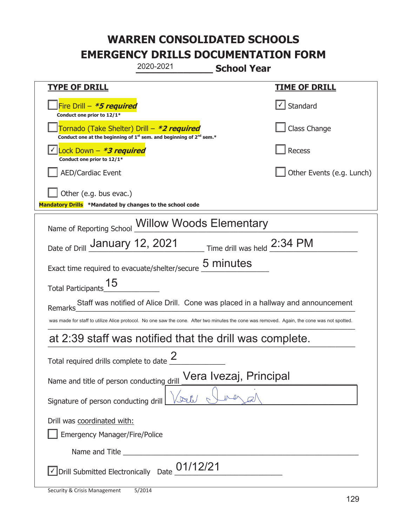| 2020-2021<br><b>School Year</b>                                                                                                             |                           |  |
|---------------------------------------------------------------------------------------------------------------------------------------------|---------------------------|--|
| <b>TYPE OF DRILL</b>                                                                                                                        | <u>TIME OF DRILL</u>      |  |
| Fire Drill $-$ <b>*5 required</b><br>Conduct one prior to 12/1*                                                                             | Standard                  |  |
| Tornado (Take Shelter) Drill – *2 required<br>Conduct one at the beginning of $1^{st}$ sem. and beginning of $2^{nd}$ sem.*                 | Class Change              |  |
| Lock Down – <b>*<i>3 required</i></b><br>Conduct one prior to 12/1*                                                                         | Recess                    |  |
| <b>AED/Cardiac Event</b>                                                                                                                    | Other Events (e.g. Lunch) |  |
| Other (e.g. bus evac.)<br>Mandatory Drills *Mandated by changes to the school code                                                          |                           |  |
| Name of Reporting School Willow Woods Elementary                                                                                            |                           |  |
| Date of Drill January 12, 2021 Time drill was held 2:34 PM                                                                                  |                           |  |
| 5 minutes<br>Exact time required to evacuate/shelter/secure                                                                                 |                           |  |
| Total Participants <sup>15</sup>                                                                                                            |                           |  |
| Staff was notified of Alice Drill. Cone was placed in a hallway and announcement<br>Remarks                                                 |                           |  |
| was made for staff to utilize Alice protocol. No one saw the cone. After two minutes the cone was removed. Again, the cone was not spotted. |                           |  |
| at 2:39 staff was notified that the drill was complete.                                                                                     |                           |  |
| Total required drills complete to date $\frac{2}{3}$                                                                                        |                           |  |
| Vera Ivezaj, Principal<br>Name and title of person conducting drill                                                                         |                           |  |
| $\sqrt{2\pi}$<br>Signature of person conducting drill                                                                                       |                           |  |
| Drill was coordinated with:<br><b>Emergency Manager/Fire/Police</b>                                                                         |                           |  |
|                                                                                                                                             |                           |  |
| √ Drill Submitted Electronically Date 01/12/21                                                                                              |                           |  |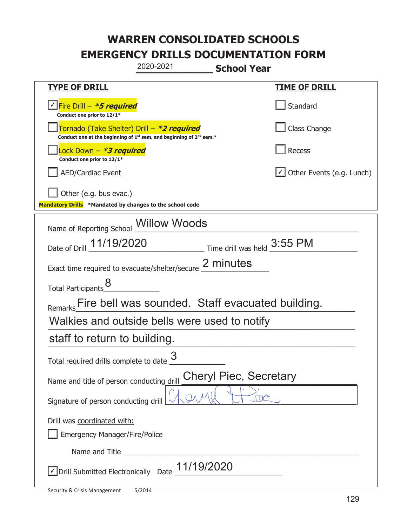|                                                                                    | 2020-2021                                                                     | <b>School Year</b>               |
|------------------------------------------------------------------------------------|-------------------------------------------------------------------------------|----------------------------------|
| <b>TYPE OF DRILL</b>                                                               |                                                                               | <b>TIME OF DRILL</b>             |
| <u>√ Fire Drill – *5 required</u><br>Conduct one prior to 12/1*                    |                                                                               | Standard                         |
| Tornado (Take Shelter) Drill – *2 required                                         | Conduct one at the beginning of $1^{st}$ sem. and beginning of $2^{nd}$ sem.* | Class Change                     |
| Lock Down - *3 required<br>Conduct one prior to 12/1*                              |                                                                               | Recess                           |
| <b>AED/Cardiac Event</b>                                                           |                                                                               | $\cup$ Other Events (e.g. Lunch) |
| Other (e.g. bus evac.)<br>Mandatory Drills *Mandated by changes to the school code |                                                                               |                                  |
| Name of Reporting School _Willow Woods                                             |                                                                               |                                  |
| Date of Drill 11/19/2020                                                           |                                                                               | Time drill was held 3:55 PM      |
|                                                                                    | Exact time required to evacuate/shelter/secure 2 minutes                      |                                  |
| <b>Total Participants</b>                                                          |                                                                               |                                  |
|                                                                                    | Remarks Fire bell was sounded. Staff evacuated building.                      |                                  |
|                                                                                    | Walkies and outside bells were used to notify                                 |                                  |
| staff to return to building.                                                       |                                                                               |                                  |
| Total required drills complete to date $\frac{6}{5}$                               | 3                                                                             |                                  |
| <b>Cheryl Piec, Secretary</b><br>Name and title of person conducting drill         |                                                                               |                                  |
| Signature of person conducting drill                                               |                                                                               |                                  |
| Drill was coordinated with:<br><b>Emergency Manager/Fire/Police</b>                |                                                                               |                                  |
|                                                                                    |                                                                               |                                  |
| √ Drill Submitted Electronically Date                                              | 11/19/2020                                                                    |                                  |

t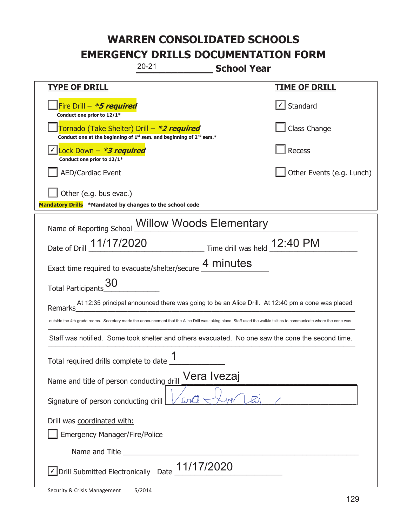| $20 - 21$<br><b>School Year</b>                                                                                                                                      |                           |  |
|----------------------------------------------------------------------------------------------------------------------------------------------------------------------|---------------------------|--|
| <b>TYPE OF DRILL</b>                                                                                                                                                 | <u>TIME OF DRILL</u>      |  |
| Fire Drill - *5 required<br>Conduct one prior to 12/1*                                                                                                               | $\sf I$ Standard          |  |
| Tornado (Take Shelter) Drill – *2 required<br>Conduct one at the beginning of $1^{st}$ sem. and beginning of $2^{nd}$ sem.*                                          | Class Change              |  |
| Lock Down - <b>*3 required</b><br>Conduct one prior to 12/1*                                                                                                         | Recess                    |  |
| <b>AED/Cardiac Event</b>                                                                                                                                             | Other Events (e.g. Lunch) |  |
| Other (e.g. bus evac.)<br>Mandatory Drills *Mandated by changes to the school code                                                                                   |                           |  |
| Name of Reporting School Willow Woods Elementary                                                                                                                     |                           |  |
| Date of Drill 11/17/2020<br>$\frac{12:40 \text{ PM}}{1}$ Time drill was held $\frac{12:40 \text{ PM}}{1}$                                                            |                           |  |
| Exact time required to evacuate/shelter/secure 4 minutes                                                                                                             |                           |  |
| Total Participants 30                                                                                                                                                |                           |  |
| At 12:35 principal announced there was going to be an Alice Drill. At 12:40 pm a cone was placed<br>Remarks                                                          |                           |  |
| outside the 4th grade rooms. Secretary made the announcement that the Alice Drill was taking place. Staff used the walkie talkies to communicate where the cone was. |                           |  |
| Staff was notified. Some took shelter and others evacuated. No one saw the cone the second time.                                                                     |                           |  |
| 1<br>Total required drills complete to date                                                                                                                          |                           |  |
| Vera Ivezaj<br>Name and title of person conducting drill                                                                                                             |                           |  |
| $\mathcal{L}$<br>Signature of person conducting drill                                                                                                                |                           |  |
| Drill was coordinated with:<br><b>Emergency Manager/Fire/Police</b>                                                                                                  |                           |  |
|                                                                                                                                                                      |                           |  |
|                                                                                                                                                                      |                           |  |
| $\sqrt{\text{Drill}}$ Submitted Electronically Date $\frac{11}{17}$ Drill                                                                                            |                           |  |